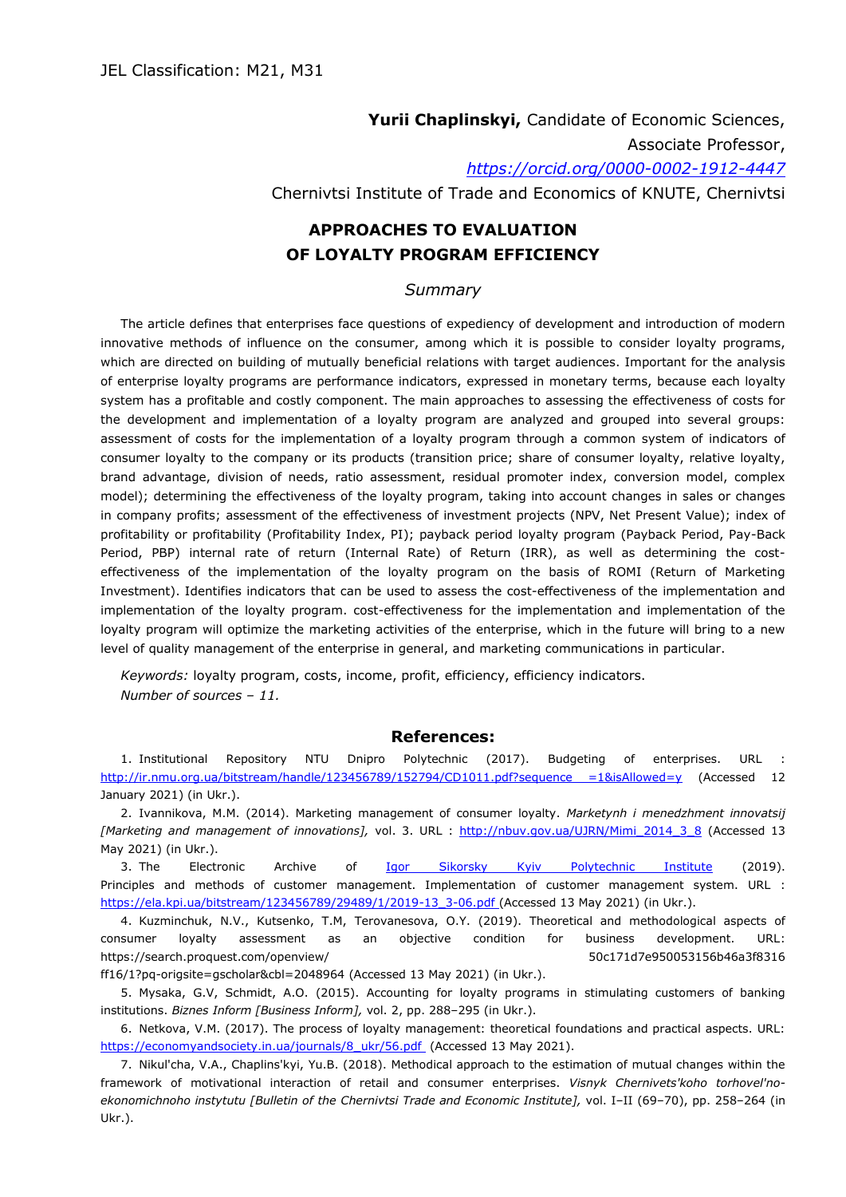**Yurii Chaplinskyі,** Candidate of Economic Sciences, Associate Professor,

*<https://orcid.org/0000-0002-1912-4447>*

Chernivtsi Institute of Trade and Economics of KNUTE, Chernivtsi

## **APPROACHES TO EVALUATION OF LOYALTY PROGRAM EFFICIENCY**

## *Summary*

The article defines that enterprises face questions of expediency of development and introduction of modern innovative methods of influence on the consumer, among which it is possible to consider loyalty programs, which are directed on building of mutually beneficial relations with target audiences. Important for the analysis of enterprise loyalty programs are performance indicators, expressed in monetary terms, because each loyalty system has a profitable and costly component. The main approaches to assessing the effectiveness of costs for the development and implementation of a loyalty program are analyzed and grouped into several groups: assessment of costs for the implementation of a loyalty program through a common system of indicators of consumer loyalty to the company or its products (transition price; share of consumer loyalty, relative loyalty, brand advantage, division of needs, ratio assessment, residual promoter index, conversion model, complex model); determining the effectiveness of the loyalty program, taking into account changes in sales or changes in company profits; assessment of the effectiveness of investment projects (NPV, Net Present Value); index of profitability or profitability (Profitability Index, PI); payback period loyalty program (Payback Period, Pay-Back Period, PBP) internal rate of return (Internal Rate) of Return (IRR), as well as determining the costeffectiveness of the implementation of the loyalty program on the basis of ROMI (Return of Marketing Investment). Identifies indicators that can be used to assess the cost-effectiveness of the implementation and implementation of the loyalty program. cost-effectiveness for the implementation and implementation of the loyalty program will optimize the marketing activities of the enterprise, which in the future will bring to a new level of quality management of the enterprise in general, and marketing communications in particular.

*Keywords:* loyalty program, costs, income, profit, efficiency, efficiency indicators. *Number of sources – 11.*

## **References:**

1. Institutional Repository NTU Dnipro Polytechnic (2017). Budgeting of enterprises. URL : [http://ir.nmu.org.ua/bitstream/handle/123456789/152794/CD1011.pdf?sequence =1&isAllowed=y](http://ir.nmu.org.ua/bitstream/handle/123456789/152794/CD1011.pdf?sequence%20=1&isAllowed=y) (Accessed 12 January 2021) (in Ukr.).

2. Ivannikova, M.M. (2014). Marketing management of consumer loyalty. *Marketynh i menedzhment innovatsij* [Marketing and management of innovations], vol. 3. URL : [http://nbuv.gov.ua/UJRN/Mimi\\_2014\\_3\\_8](http://nbuv.gov.ua/UJRN/Mimi_2014_3_8) (Accessed 13 May 2021) (in Ukr.).

3. The Electronic Archive of [Igor Sikorsky Kyiv Polytechnic Institute](https://kpi.ua/en) (2019). Principles and methods of customer management. Implementation of customer management system. URL : [https://ela.kpi.ua/bitstream/123456789/29489/1/2019-13\\_3-06.pdf](https://ela.kpi.ua/bitstream/123456789/29489/1/2019-13_3-06.pdf) (Accessed 13 May 2021) (in Ukr.).

4. Kuzminchuk, N.V., Kutsenko, T.M, Terovanesova, O.Y. (2019). Theoretical and methodological aspects of consumer loyalty assessment as an objective condition for business development. URL: https://search.proquest.com/openview/ 50c171d7e950053156b46a3f8316

ff16/1?pq-origsite=gscholar&cbl=2048964 (Accessed 13 May 2021) (in Ukr.).

5. Mysaka, G.V, Schmidt, A.O. (2015). Accounting for loyalty programs in stimulating customers of banking institutions. *Biznes Inform [Business Inform],* vol. 2, pp. 288–295 (in Ukr.).

6. Netkova, V.M. (2017). The process of loyalty management: theoretical foundations and practical aspects. URL: [https://economyandsociety.in.ua/journals/8\\_ukr/56.pdf](https://economyandsociety.in.ua/journals/8_ukr/56.pdf) (Accessed 13 May 2021).

<sup>7.</sup> Nikul'cha, V.A., Chaplins'kyi, Yu.B. (2018). Methodical approach to the estimation of mutual changes within the framework of motivational interaction of retail and consumer enterprises. *Visnyk Chernivets'koho torhovel'noekonomichnoho instytutu [Bulletin of the Chernivtsi Trade and Economic Institute],* vol. I–II (69–70), pp. 258–264 (in Ukr.).